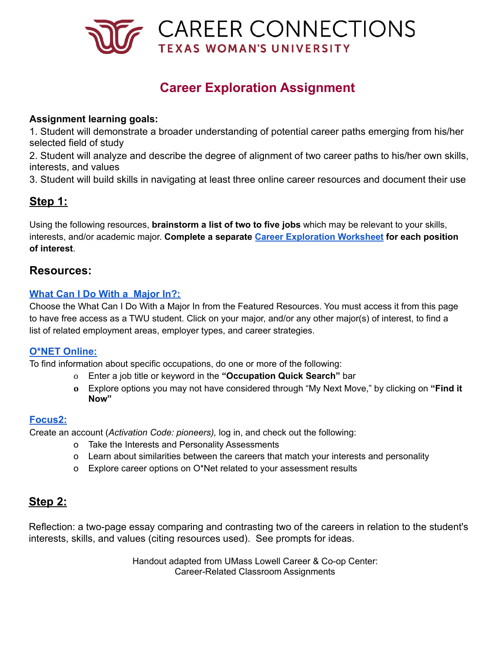

# **Career Exploration Assignment**

### **Assignment learning goals:**

1. Student will demonstrate a broader understanding of potential career paths emerging from his/her selected field of study

2. Student will analyze and describe the degree of alignment of two career paths to his/her own skills, interests, and values

3. Student will build skills in navigating at least three online career resources and document their use

# **Step 1:**

Using the following resources, **brainstorm a list of two to five jobs** which may be relevant to your skills, interests, and/or academic major. **Complete a separate Career [Exploration](https://careerconnections.twu.edu/resources/career-exploration-worksheet/) Worksheet for each position of interest**.

## **Resources:**

#### **[What Can I Do With a Major In?:](https://careerconnections.twu.edu/channels/career-exploration/)**

Choose the What Can I Do With a Major In from the Featured Resources. You must access it from this page to have free access as a TWU student. Click on your major, and/or any other major(s) of interest, to find a list of related employment areas, employer types, and career strategies.

### **[O\\*NET Online:](https://www.onetonline.org/)**

To find information about specific occupations, do one or more of the following:

- o Enter a job title or keyword in the **"Occupation Quick Search"** bar
- **o** Explore options you may not have considered through "My Next Move," by clicking on **"Find it Now"**

#### **[Focus2:](https://careerconnections.twu.edu/resources/focus-2/)**

Create an account (*Activation Code: pioneers),* log in, and check out the following:

- o Take the Interests and Personality Assessments
- o Learn about similarities between the careers that match your interests and personality
- o Explore career options on O\*Net related to your assessment results

# **Step 2:**

Reflection: a two-page essay comparing and contrasting two of the careers in relation to the student's interests, skills, and values (citing resources used). See prompts for ideas.

> Handout adapted from UMass Lowell Career & Co-op Center: Career-Related Classroom Assignments